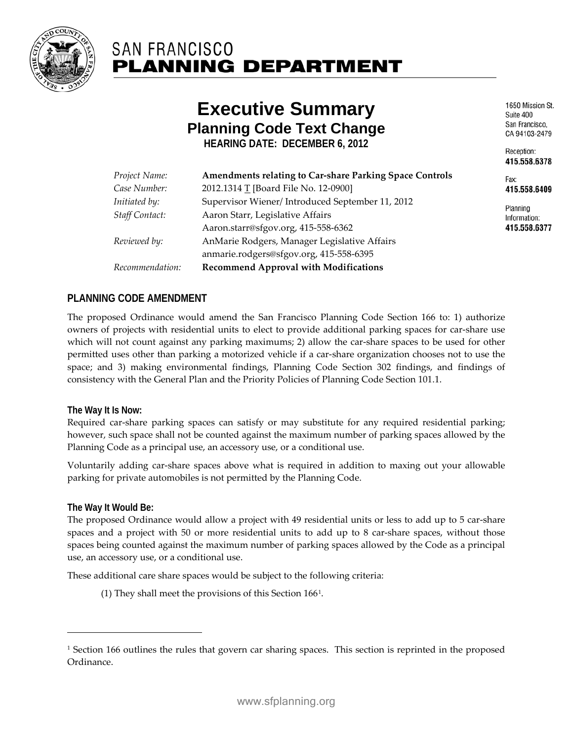

# **SAN FRANCISCO PLANNING DEPARTMENT**

# **Executive Summary Planning Code Text Change**

**HEARING DATE: DECEMBER 6, 2012**

| Project Name:         | <b>Amendments relating to Car-share Parking Space Controls</b> |
|-----------------------|----------------------------------------------------------------|
| Case Number:          | 2012.1314 T [Board File No. 12-0900]                           |
| Initiated by:         | Supervisor Wiener/ Introduced September 11, 2012               |
| <b>Staff Contact:</b> | Aaron Starr, Legislative Affairs                               |
|                       | Aaron.starr@sfgov.org, 415-558-6362                            |
| Reviewed by:          | AnMarie Rodgers, Manager Legislative Affairs                   |
|                       | anmarie.rodgers@sfgov.org, 415-558-6395                        |
| Recommendation:       | <b>Recommend Approval with Modifications</b>                   |
|                       |                                                                |

1650 Mission St. Suite 400 San Francisco. CA 94103-2479

Reception: 415.558.6378

Fav<sup>-</sup> 415.558.6409

Planning Information: 415.558.6377

#### **PLANNING CODE AMENDMENT**

The proposed Ordinance would amend the San Francisco Planning Code Section 166 to: 1) authorize owners of projects with residential units to elect to provide additional parking spaces for car-share use which will not count against any parking maximums; 2) allow the car-share spaces to be used for other permitted uses other than parking a motorized vehicle if a car-share organization chooses not to use the space; and 3) making environmental findings, Planning Code Section 302 findings, and findings of consistency with the General Plan and the Priority Policies of Planning Code Section 101.1.

#### **The Way It Is Now:**

Required car-share parking spaces can satisfy or may substitute for any required residential parking; however, such space shall not be counted against the maximum number of parking spaces allowed by the Planning Code as a principal use, an accessory use, or a conditional use.

Voluntarily adding car-share spaces above what is required in addition to maxing out your allowable parking for private automobiles is not permitted by the Planning Code.

#### **The Way It Would Be:**

<span id="page-0-1"></span> $\overline{a}$ 

The proposed Ordinance would allow a project with 49 residential units or less to add up to 5 car-share spaces and a project with 50 or more residential units to add up to 8 car-share spaces, without those spaces being counted against the maximum number of parking spaces allowed by the Code as a principal use, an accessory use, or a conditional use.

These additional care share spaces would be subject to the following criteria:

(1) They shall meet the provisions of this Section 166[1](#page-0-0).

<span id="page-0-0"></span><sup>&</sup>lt;sup>1</sup> Section 166 outlines the rules that govern car sharing spaces. This section is reprinted in the proposed Ordinance.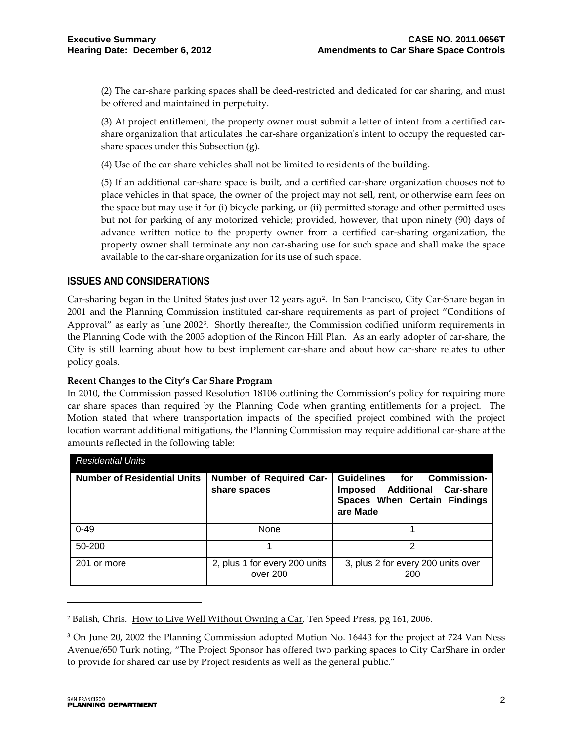(2) The car-share parking spaces shall be deed-restricted and dedicated for car sharing, and must be offered and maintained in perpetuity.

(3) At project entitlement, the property owner must submit a letter of intent from a certified carshare organization that articulates the car-share organization's intent to occupy the requested carshare spaces under this Subsection (g).

(4) Use of the car-share vehicles shall not be limited to residents of the building.

(5) If an additional car-share space is built, and a certified car-share organization chooses not to place vehicles in that space, the owner of the project may not sell, rent, or otherwise earn fees on the space but may use it for (i) bicycle parking, or (ii) permitted storage and other permitted uses but not for parking of any motorized vehicle; provided, however, that upon ninety (90) days of advance written notice to the property owner from a certified car-sharing organization, the property owner shall terminate any non car-sharing use for such space and shall make the space available to the car-share organization for its use of such space.

#### **ISSUES AND CONSIDERATIONS**

Car-sharing began in the United States just over 1[2](#page-0-1) years ago<sup>2</sup>. In San Francisco, City Car-Share began in 2001 and the Planning Commission instituted car-share requirements as part of project "Conditions of Approval" as early as June 2002[3.](#page-1-0) Shortly thereafter, the Commission codified uniform requirements in the Planning Code with the 2005 adoption of the Rincon Hill Plan. As an early adopter of car-share, the City is still learning about how to best implement car-share and about how car-share relates to other policy goals.

#### **Recent Changes to the City's Car Share Program**

In 2010, the Commission passed Resolution 18106 outlining the Commission's policy for requiring more car share spaces than required by the Planning Code when granting entitlements for a project. The Motion stated that where transportation impacts of the specified project combined with the project location warrant additional mitigations, the Planning Commission may require additional car-share at the amounts reflected in the following table:

| <b>Residential Units</b>           |                                           |                                                                                                                         |
|------------------------------------|-------------------------------------------|-------------------------------------------------------------------------------------------------------------------------|
| <b>Number of Residential Units</b> | Number of Required Car-<br>share spaces   | Guidelines for Commission-<br><b>Additional Car-share</b><br><b>Imposed</b><br>Spaces When Certain Findings<br>are Made |
| $0 - 49$                           | None                                      |                                                                                                                         |
| 50-200                             |                                           |                                                                                                                         |
| 201 or more                        | 2, plus 1 for every 200 units<br>over 200 | 3, plus 2 for every 200 units over<br>200                                                                               |

<sup>&</sup>lt;sup>2</sup> Balish, Chris. How to Live Well Without Owning a Car, Ten Speed Press, pg 161, 2006.

 $\overline{a}$ 

<span id="page-1-1"></span><span id="page-1-0"></span><sup>&</sup>lt;sup>3</sup> On June 20, 2002 the Planning Commission adopted Motion No. 16443 for the project at 724 Van Ness Avenue/650 Turk noting, "The Project Sponsor has offered two parking spaces to City CarShare in order to provide for shared car use by Project residents as well as the general public."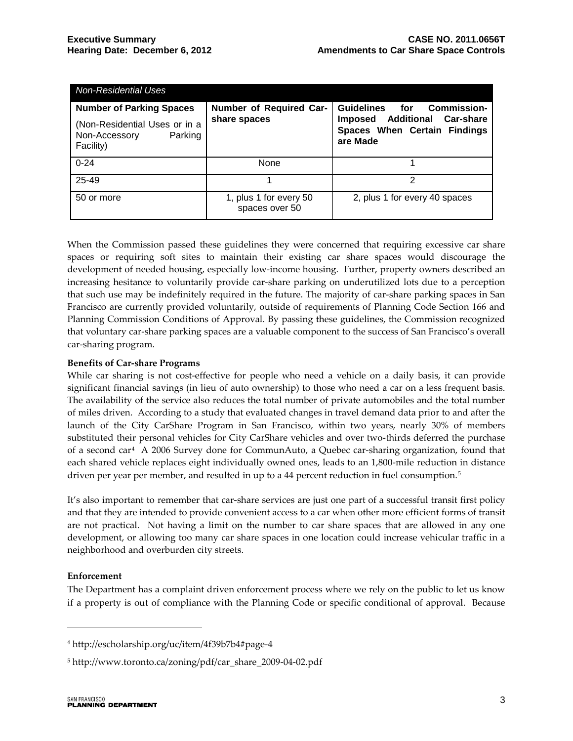| <b>Non-Residential Uses</b>                                                                               |                                          |                                                                                                                         |
|-----------------------------------------------------------------------------------------------------------|------------------------------------------|-------------------------------------------------------------------------------------------------------------------------|
| <b>Number of Parking Spaces</b><br>(Non-Residential Uses or in a<br>Non-Accessory<br>Parking<br>Facility) | Number of Required Car-<br>share spaces  | Guidelines for Commission-<br><b>Additional Car-share</b><br><b>Imposed</b><br>Spaces When Certain Findings<br>are Made |
| $0 - 24$                                                                                                  | None                                     |                                                                                                                         |
| 25-49                                                                                                     |                                          | 2                                                                                                                       |
| 50 or more                                                                                                | 1, plus 1 for every 50<br>spaces over 50 | 2, plus 1 for every 40 spaces                                                                                           |

When the Commission passed these guidelines they were concerned that requiring excessive car share spaces or requiring soft sites to maintain their existing car share spaces would discourage the development of needed housing, especially low-income housing. Further, property owners described an increasing hesitance to voluntarily provide car-share parking on underutilized lots due to a perception that such use may be indefinitely required in the future. The majority of car-share parking spaces in San Francisco are currently provided voluntarily, outside of requirements of Planning Code Section 166 and Planning Commission Conditions of Approval. By passing these guidelines, the Commission recognized that voluntary car-share parking spaces are a valuable component to the success of San Francisco's overall car-sharing program.

#### **Benefits of Car-share Programs**

While car sharing is not cost-effective for people who need a vehicle on a daily basis, it can provide significant financial savings (in lieu of auto ownership) to those who need a car on a less frequent basis. The availability of the service also reduces the total number of private automobiles and the total number of miles driven. According to a study that evaluated changes in travel demand data prior to and after the launch of the City CarShare Program in San Francisco, within two years, nearly 30% of members substituted their personal vehicles for City CarShare vehicles and over two-thirds deferred the purchase of a second car[4](#page-1-1) A [2006](http://www.communauto.com/abonnes/PT-CS_FaitsSaillants.pdf) Survey done for [CommunAuto,](http://www.communauto.com/) a Quebec car-sharing organization, found that each shared vehicle replaces eight individually owned ones, leads to an 1,800-mile reduction in distance driven per year per member, and resulted in up to a 44 percent reduction in fuel consumption.<sup>5</sup>

It's also important to remember that car-share services are just one part of a successful transit first policy and that they are intended to provide convenient access to a car when other more efficient forms of transit are not practical. Not having a limit on the number to car share spaces that are allowed in any one development, or allowing too many car share spaces in one location could increase vehicular traffic in a neighborhood and overburden city streets.

#### **Enforcement**

 $\overline{a}$ 

The Department has a complaint driven enforcement process where we rely on the public to let us know if a property is out of compliance with the Planning Code or specific conditional of approval. Because

<sup>4</sup> http://escholarship.org/uc/item/4f39b7b4#page-4

<span id="page-2-0"></span><sup>5</sup> http://www.toronto.ca/zoning/pdf/car\_share\_2009-04-02.pdf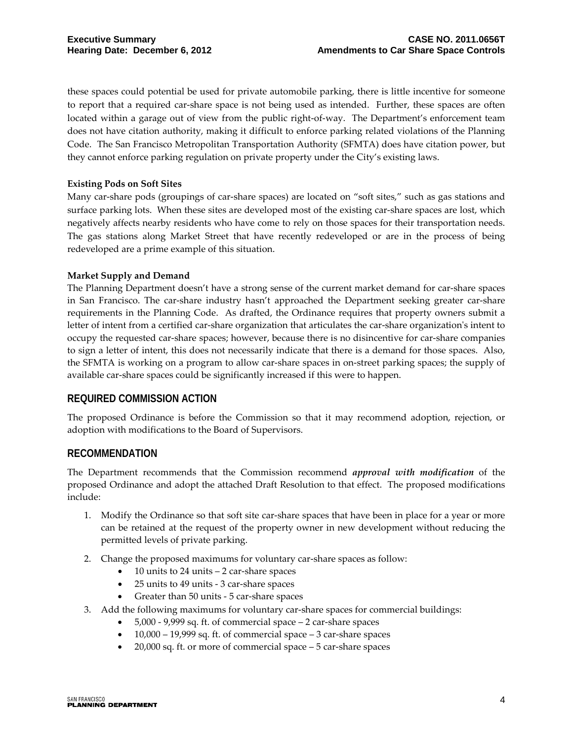these spaces could potential be used for private automobile parking, there is little incentive for someone to report that a required car-share space is not being used as intended. Further, these spaces are often located within a garage out of view from the public right-of-way. The Department's enforcement team does not have citation authority, making it difficult to enforce parking related violations of the Planning Code. The San Francisco Metropolitan Transportation Authority (SFMTA) does have citation power, but they cannot enforce parking regulation on private property under the City's existing laws.

#### **Existing Pods on Soft Sites**

Many car-share pods (groupings of car-share spaces) are located on "soft sites," such as gas stations and surface parking lots. When these sites are developed most of the existing car-share spaces are lost, which negatively affects nearby residents who have come to rely on those spaces for their transportation needs. The gas stations along Market Street that have recently redeveloped or are in the process of being redeveloped are a prime example of this situation.

#### **Market Supply and Demand**

The Planning Department doesn't have a strong sense of the current market demand for car-share spaces in San Francisco. The car-share industry hasn't approached the Department seeking greater car-share requirements in the Planning Code. As drafted, the Ordinance requires that property owners submit a letter of intent from a certified car-share organization that articulates the car-share organization's intent to occupy the requested car-share spaces; however, because there is no disincentive for car-share companies to sign a letter of intent, this does not necessarily indicate that there is a demand for those spaces. Also, the SFMTA is working on a program to allow car-share spaces in on-street parking spaces; the supply of available car-share spaces could be significantly increased if this were to happen.

#### **REQUIRED COMMISSION ACTION**

The proposed Ordinance is before the Commission so that it may recommend adoption, rejection, or adoption with modifications to the Board of Supervisors.

#### **RECOMMENDATION**

The Department recommends that the Commission recommend *approval with modification* of the proposed Ordinance and adopt the attached Draft Resolution to that effect. The proposed modifications include:

- 1. Modify the Ordinance so that soft site car-share spaces that have been in place for a year or more can be retained at the request of the property owner in new development without reducing the permitted levels of private parking.
- 2. Change the proposed maximums for voluntary car-share spaces as follow:
	- 10 units to 24 units 2 car-share spaces
	- 25 units to 49 units 3 car-share spaces
	- Greater than 50 units 5 car-share spaces
- 3. Add the following maximums for voluntary car-share spaces for commercial buildings:
	- 5,000 9,999 sq. ft. of commercial space 2 car-share spaces
	- $\bullet$  10,000 19,999 sq. ft. of commercial space 3 car-share spaces
	- 20,000 sq. ft. or more of commercial space 5 car-share spaces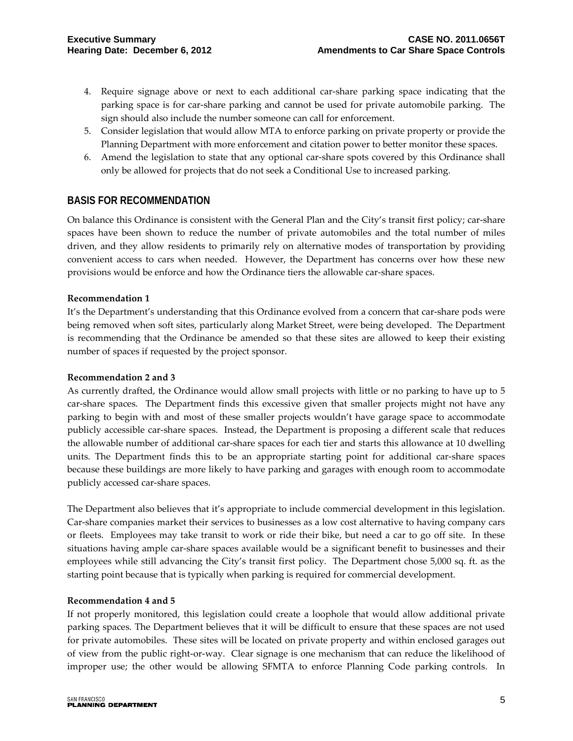- 4. Require signage above or next to each additional car-share parking space indicating that the parking space is for car-share parking and cannot be used for private automobile parking. The sign should also include the number someone can call for enforcement.
- 5. Consider legislation that would allow MTA to enforce parking on private property or provide the Planning Department with more enforcement and citation power to better monitor these spaces.
- 6. Amend the legislation to state that any optional car-share spots covered by this Ordinance shall only be allowed for projects that do not seek a Conditional Use to increased parking.

#### **BASIS FOR RECOMMENDATION**

On balance this Ordinance is consistent with the General Plan and the City's transit first policy; car-share spaces have been shown to reduce the number of private automobiles and the total number of miles driven, and they allow residents to primarily rely on alternative modes of transportation by providing convenient access to cars when needed. However, the Department has concerns over how these new provisions would be enforce and how the Ordinance tiers the allowable car-share spaces.

#### **Recommendation 1**

It's the Department's understanding that this Ordinance evolved from a concern that car-share pods were being removed when soft sites, particularly along Market Street, were being developed. The Department is recommending that the Ordinance be amended so that these sites are allowed to keep their existing number of spaces if requested by the project sponsor.

#### **Recommendation 2 and 3**

As currently drafted, the Ordinance would allow small projects with little or no parking to have up to 5 car-share spaces. The Department finds this excessive given that smaller projects might not have any parking to begin with and most of these smaller projects wouldn't have garage space to accommodate publicly accessible car-share spaces. Instead, the Department is proposing a different scale that reduces the allowable number of additional car-share spaces for each tier and starts this allowance at 10 dwelling units. The Department finds this to be an appropriate starting point for additional car-share spaces because these buildings are more likely to have parking and garages with enough room to accommodate publicly accessed car-share spaces.

The Department also believes that it's appropriate to include commercial development in this legislation. Car-share companies market their services to businesses as a low cost alternative to having company cars or fleets. Employees may take transit to work or ride their bike, but need a car to go off site. In these situations having ample car-share spaces available would be a significant benefit to businesses and their employees while still advancing the City's transit first policy. The Department chose 5,000 sq. ft. as the starting point because that is typically when parking is required for commercial development.

#### **Recommendation 4 and 5**

If not properly monitored, this legislation could create a loophole that would allow additional private parking spaces. The Department believes that it will be difficult to ensure that these spaces are not used for private automobiles. These sites will be located on private property and within enclosed garages out of view from the public right-or-way. Clear signage is one mechanism that can reduce the likelihood of improper use; the other would be allowing SFMTA to enforce Planning Code parking controls. In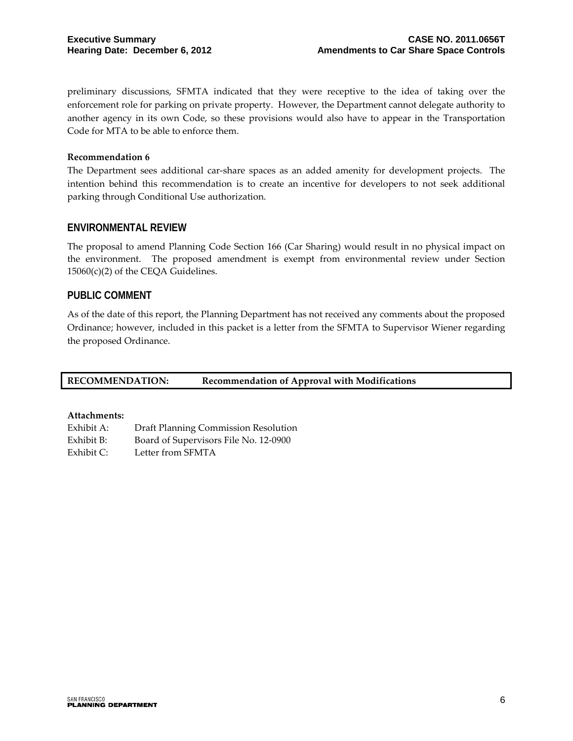preliminary discussions, SFMTA indicated that they were receptive to the idea of taking over the enforcement role for parking on private property. However, the Department cannot delegate authority to another agency in its own Code, so these provisions would also have to appear in the Transportation Code for MTA to be able to enforce them.

#### **Recommendation 6**

The Department sees additional car-share spaces as an added amenity for development projects. The intention behind this recommendation is to create an incentive for developers to not seek additional parking through Conditional Use authorization.

#### **ENVIRONMENTAL REVIEW**

The proposal to amend Planning Code Section 166 (Car Sharing) would result in no physical impact on the environment. The proposed amendment is exempt from environmental review under Section  $15060(c)(2)$  of the CEQA Guidelines.

#### **PUBLIC COMMENT**

As of the date of this report, the Planning Department has not received any comments about the proposed Ordinance; however, included in this packet is a letter from the SFMTA to Supervisor Wiener regarding the proposed Ordinance.

**RECOMMENDATION: Recommendation of Approval with Modifications**

#### **Attachments:**

| Exhibit A: | Draft Planning Commission Resolution  |
|------------|---------------------------------------|
| Exhibit B: | Board of Supervisors File No. 12-0900 |
| Exhibit C: | Letter from SFMTA                     |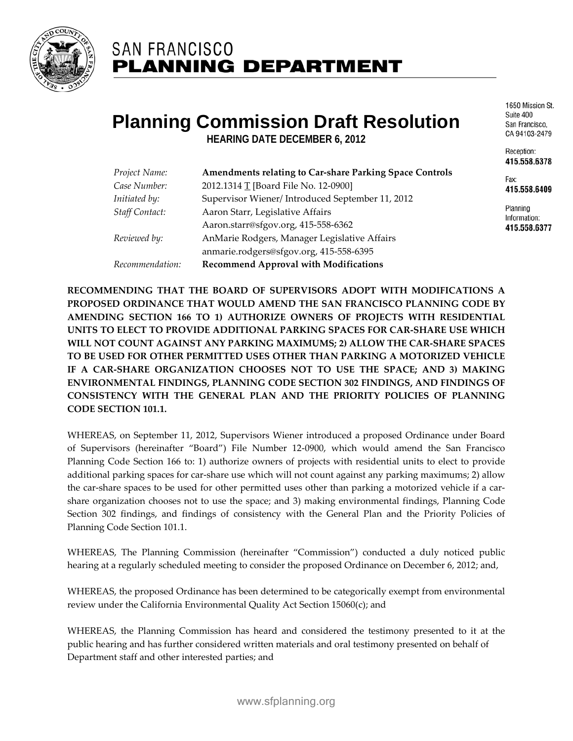

# **SAN FRANCISCO PLANNING DEPARTMENT**

# **Planning Commission Draft Resolution**

**HEARING DATE DECEMBER 6, 2012**

| Project Name:         | <b>Amendments relating to Car-share Parking Space Controls</b> |
|-----------------------|----------------------------------------------------------------|
| Case Number:          | 2012.1314 T [Board File No. 12-0900]                           |
| Initiated by:         | Supervisor Wiener/Introduced September 11, 2012                |
| <b>Staff Contact:</b> | Aaron Starr, Legislative Affairs                               |
|                       | Aaron.starr@sfgov.org, 415-558-6362                            |
| Reviewed by:          | AnMarie Rodgers, Manager Legislative Affairs                   |
|                       | anmarie.rodgers@sfgov.org, 415-558-6395                        |
| Recommendation:       | <b>Recommend Approval with Modifications</b>                   |

1650 Mission St. Suite 400 San Francisco. CA 94103-2479

Reception: 415.558.6378

Fav<sup>-</sup> 415.558.6409

Planning Information: 415.558.6377

**RECOMMENDING THAT THE BOARD OF SUPERVISORS ADOPT WITH MODIFICATIONS A PROPOSED ORDINANCE THAT WOULD AMEND THE SAN FRANCISCO PLANNING CODE BY AMENDING SECTION 166 TO 1) AUTHORIZE OWNERS OF PROJECTS WITH RESIDENTIAL UNITS TO ELECT TO PROVIDE ADDITIONAL PARKING SPACES FOR CAR-SHARE USE WHICH WILL NOT COUNT AGAINST ANY PARKING MAXIMUMS; 2) ALLOW THE CAR-SHARE SPACES TO BE USED FOR OTHER PERMITTED USES OTHER THAN PARKING A MOTORIZED VEHICLE IF A CAR-SHARE ORGANIZATION CHOOSES NOT TO USE THE SPACE; AND 3) MAKING ENVIRONMENTAL FINDINGS, PLANNING CODE SECTION 302 FINDINGS, AND FINDINGS OF CONSISTENCY WITH THE GENERAL PLAN AND THE PRIORITY POLICIES OF PLANNING CODE SECTION 101.1.**

WHEREAS, on September 11, 2012, Supervisors Wiener introduced a proposed Ordinance under Board of Supervisors (hereinafter "Board") File Number 12-0900, which would amend the San Francisco Planning Code Section 166 to: 1) authorize owners of projects with residential units to elect to provide additional parking spaces for car-share use which will not count against any parking maximums; 2) allow the car-share spaces to be used for other permitted uses other than parking a motorized vehicle if a carshare organization chooses not to use the space; and 3) making environmental findings, Planning Code Section 302 findings, and findings of consistency with the General Plan and the Priority Policies of Planning Code Section 101.1.

WHEREAS, The Planning Commission (hereinafter "Commission") conducted a duly noticed public hearing at a regularly scheduled meeting to consider the proposed Ordinance on December 6, 2012; and,

WHEREAS, the proposed Ordinance has been determined to be categorically exempt from environmental review under the California Environmental Quality Act Section 15060(c); and

WHEREAS, the Planning Commission has heard and considered the testimony presented to it at the public hearing and has further considered written materials and oral testimony presented on behalf of Department staff and other interested parties; and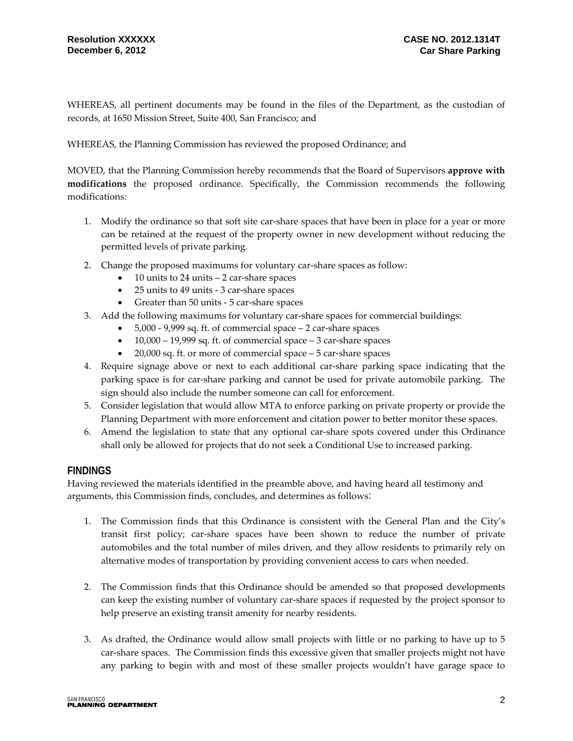WHEREAS, all pertinent documents may be found in the files of the Department, as the custodian of records, at 1650 Mission Street, Suite 400, San Francisco; and

WHEREAS, the Planning Commission has reviewed the proposed Ordinance; and

MOVED, that the Planning Commission hereby recommends that the Board of Supervisors **approve with modifications** the proposed ordinance. Specifically, the Commission recommends the following modifications:

- 1. Modify the ordinance so that soft site car-share spaces that have been in place for a year or more can be retained at the request of the property owner in new development without reducing the permitted levels of private parking.
- 2. Change the proposed maximums for voluntary car-share spaces as follow:
	- 10 units to 24 units 2 car-share spaces
	- 25 units to 49 units 3 car-share spaces
	- Greater than 50 units 5 car-share spaces
- 3. Add the following maximums for voluntary car-share spaces for commercial buildings:
	- 5,000 9,999 sq. ft. of commercial space 2 car-share spaces
	- 10,000 19,999 sq. ft. of commercial space 3 car-share spaces
	- 20,000 sq. ft. or more of commercial space 5 car-share spaces
- 4. Require signage above or next to each additional car-share parking space indicating that the parking space is for car-share parking and cannot be used for private automobile parking. The sign should also include the number someone can call for enforcement.
- 5. Consider legislation that would allow MTA to enforce parking on private property or provide the Planning Department with more enforcement and citation power to better monitor these spaces.
- 6. Amend the legislation to state that any optional car-share spots covered under this Ordinance shall only be allowed for projects that do not seek a Conditional Use to increased parking.

#### **FINDINGS**

Having reviewed the materials identified in the preamble above, and having heard all testimony and arguments, this Commission finds, concludes, and determines as follows:

- 1. The Commission finds that this Ordinance is consistent with the General Plan and the City's transit first policy; car-share spaces have been shown to reduce the number of private automobiles and the total number of miles driven, and they allow residents to primarily rely on alternative modes of transportation by providing convenient access to cars when needed.
- 2. The Commission finds that this Ordinance should be amended so that proposed developments can keep the existing number of voluntary car-share spaces if requested by the project sponsor to help preserve an existing transit amenity for nearby residents.
- 3. As drafted, the Ordinance would allow small projects with little or no parking to have up to 5 car-share spaces. The Commission finds this excessive given that smaller projects might not have any parking to begin with and most of these smaller projects wouldn't have garage space to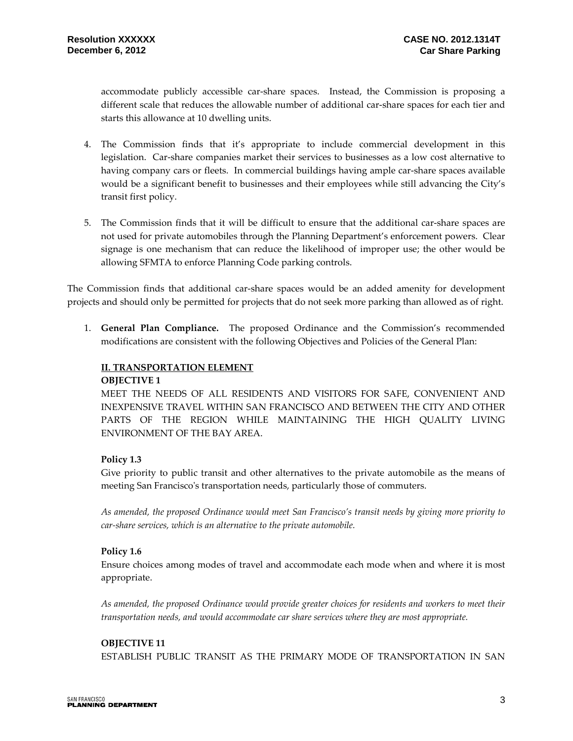accommodate publicly accessible car-share spaces. Instead, the Commission is proposing a different scale that reduces the allowable number of additional car-share spaces for each tier and starts this allowance at 10 dwelling units.

- 4. The Commission finds that it's appropriate to include commercial development in this legislation. Car-share companies market their services to businesses as a low cost alternative to having company cars or fleets. In commercial buildings having ample car-share spaces available would be a significant benefit to businesses and their employees while still advancing the City's transit first policy.
- 5. The Commission finds that it will be difficult to ensure that the additional car-share spaces are not used for private automobiles through the Planning Department's enforcement powers. Clear signage is one mechanism that can reduce the likelihood of improper use; the other would be allowing SFMTA to enforce Planning Code parking controls.

The Commission finds that additional car-share spaces would be an added amenity for development projects and should only be permitted for projects that do not seek more parking than allowed as of right.

1. **General Plan Compliance.** The proposed Ordinance and the Commission's recommended modifications are consistent with the following Objectives and Policies of the General Plan:

#### **II. TRANSPORTATION ELEMENT**

#### **OBJECTIVE 1**

MEET THE NEEDS OF ALL RESIDENTS AND VISITORS FOR SAFE, CONVENIENT AND INEXPENSIVE TRAVEL WITHIN SAN FRANCISCO AND BETWEEN THE CITY AND OTHER PARTS OF THE REGION WHILE MAINTAINING THE HIGH QUALITY LIVING ENVIRONMENT OF THE BAY AREA.

#### **Policy 1.3**

Give priority to public transit and other alternatives to the private automobile as the means of meeting San Francisco's transportation needs, particularly those of commuters.

*As amended, the proposed Ordinance would meet San Francisco's transit needs by giving more priority to car-share services, which is an alternative to the private automobile.* 

#### **Policy 1.6**

Ensure choices among modes of travel and accommodate each mode when and where it is most appropriate.

*As amended, the proposed Ordinance would provide greater choices for residents and workers to meet their transportation needs, and would accommodate car share services where they are most appropriate.*

#### **OBJECTIVE 11**

ESTABLISH PUBLIC TRANSIT AS THE PRIMARY MODE OF TRANSPORTATION IN SAN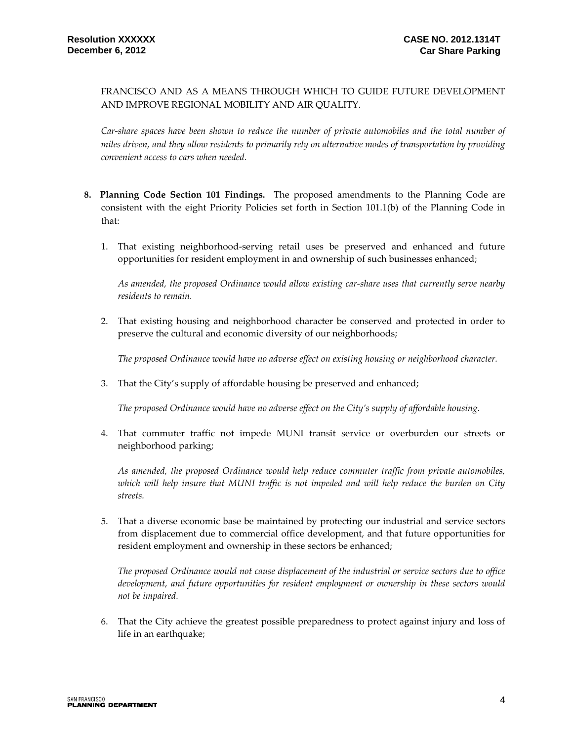FRANCISCO AND AS A MEANS THROUGH WHICH TO GUIDE FUTURE DEVELOPMENT AND IMPROVE REGIONAL MOBILITY AND AIR QUALITY.

*Car-share spaces have been shown to reduce the number of private automobiles and the total number of miles driven, and they allow residents to primarily rely on alternative modes of transportation by providing convenient access to cars when needed.*

- **8. Planning Code Section 101 Findings.** The proposed amendments to the Planning Code are consistent with the eight Priority Policies set forth in Section 101.1(b) of the Planning Code in that:
	- 1. That existing neighborhood-serving retail uses be preserved and enhanced and future opportunities for resident employment in and ownership of such businesses enhanced;

*As amended, the proposed Ordinance would allow existing car-share uses that currently serve nearby residents to remain.* 

2. That existing housing and neighborhood character be conserved and protected in order to preserve the cultural and economic diversity of our neighborhoods;

*The proposed Ordinance would have no adverse effect on existing housing or neighborhood character.*

3. That the City's supply of affordable housing be preserved and enhanced;

*The proposed Ordinance would have no adverse effect on the City's supply of affordable housing.*

4. That commuter traffic not impede MUNI transit service or overburden our streets or neighborhood parking;

*As amended, the proposed Ordinance would help reduce commuter traffic from private automobiles, which will help insure that MUNI traffic is not impeded and will help reduce the burden on City streets.*

5. That a diverse economic base be maintained by protecting our industrial and service sectors from displacement due to commercial office development, and that future opportunities for resident employment and ownership in these sectors be enhanced;

*The proposed Ordinance would not cause displacement of the industrial or service sectors due to office development, and future opportunities for resident employment or ownership in these sectors would not be impaired.* 

6. That the City achieve the greatest possible preparedness to protect against injury and loss of life in an earthquake;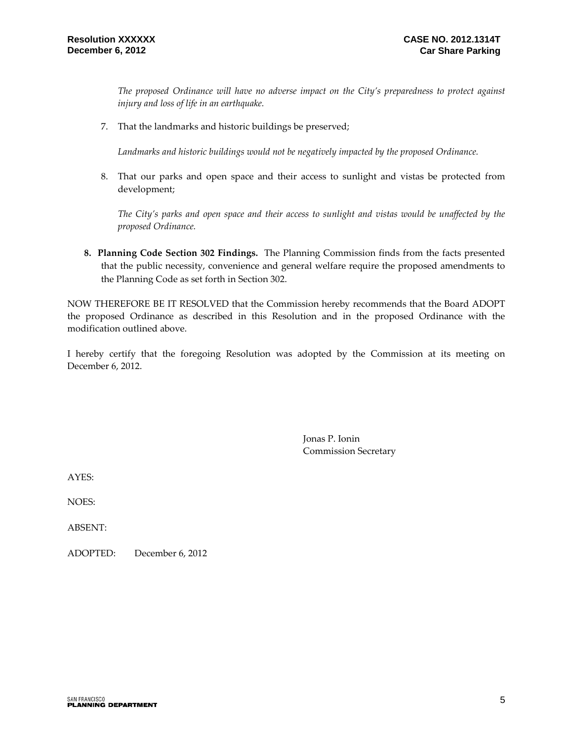*The proposed Ordinance will have no adverse impact on the City's preparedness to protect against injury and loss of life in an earthquake.*

7. That the landmarks and historic buildings be preserved;

*Landmarks and historic buildings would not be negatively impacted by the proposed Ordinance.*

8. That our parks and open space and their access to sunlight and vistas be protected from development;

*The City's parks and open space and their access to sunlight and vistas would be unaffected by the proposed Ordinance.* 

**8. Planning Code Section 302 Findings.** The Planning Commission finds from the facts presented that the public necessity, convenience and general welfare require the proposed amendments to the Planning Code as set forth in Section 302.

NOW THEREFORE BE IT RESOLVED that the Commission hereby recommends that the Board ADOPT the proposed Ordinance as described in this Resolution and in the proposed Ordinance with the modification outlined above.

I hereby certify that the foregoing Resolution was adopted by the Commission at its meeting on December 6, 2012.

> Jonas P. Ionin Commission Secretary

AYES:

NOES:

ABSENT:

ADOPTED: December 6, 2012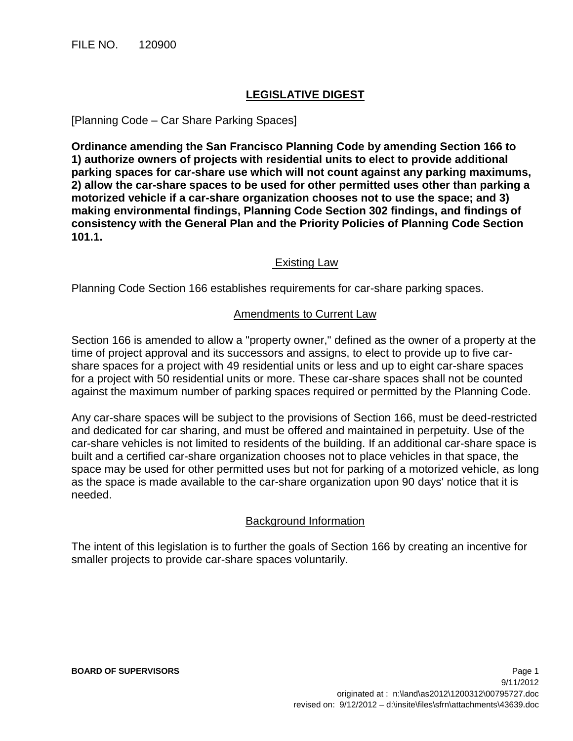#### **LEGISLATIVE DIGEST**

#### [Planning Code – Car Share Parking Spaces]

**Ordinance amending the San Francisco Planning Code by amending Section 166 to 1) authorize owners of projects with residential units to elect to provide additional parking spaces for car-share use which will not count against any parking maximums, 2) allow the car-share spaces to be used for other permitted uses other than parking a motorized vehicle if a car-share organization chooses not to use the space; and 3) making environmental findings, Planning Code Section 302 findings, and findings of consistency with the General Plan and the Priority Policies of Planning Code Section 101.1.** 

#### Existing Law

Planning Code Section 166 establishes requirements for car-share parking spaces.

#### Amendments to Current Law

Section 166 is amended to allow a "property owner," defined as the owner of a property at the time of project approval and its successors and assigns, to elect to provide up to five carshare spaces for a project with 49 residential units or less and up to eight car-share spaces for a project with 50 residential units or more. These car-share spaces shall not be counted against the maximum number of parking spaces required or permitted by the Planning Code.

Any car-share spaces will be subject to the provisions of Section 166, must be deed-restricted and dedicated for car sharing, and must be offered and maintained in perpetuity. Use of the car-share vehicles is not limited to residents of the building. If an additional car-share space is built and a certified car-share organization chooses not to place vehicles in that space, the space may be used for other permitted uses but not for parking of a motorized vehicle, as long as the space is made available to the car-share organization upon 90 days' notice that it is needed.

#### Background Information

The intent of this legislation is to further the goals of Section 166 by creating an incentive for smaller projects to provide car-share spaces voluntarily.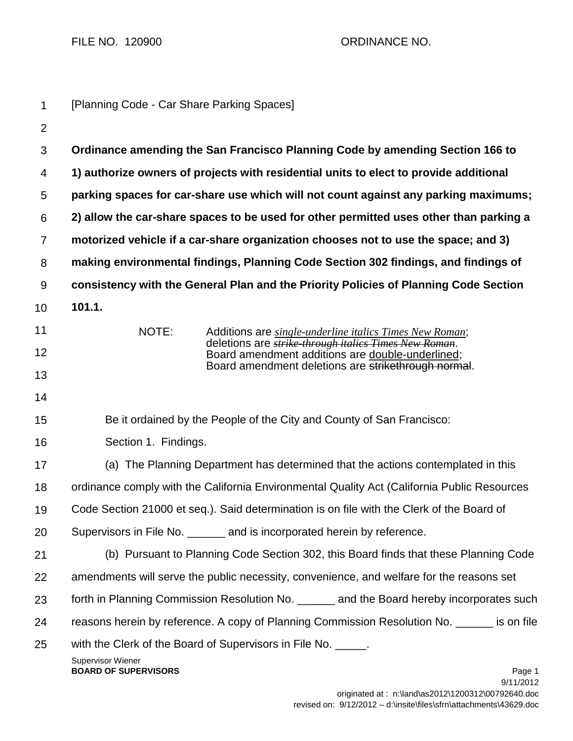FILE NO. 120900 CRDINANCE NO.

| $\mathbf{1}$   | [Planning Code - Car Share Parking Spaces]                                                                                         |
|----------------|------------------------------------------------------------------------------------------------------------------------------------|
| $\overline{2}$ |                                                                                                                                    |
| 3              | Ordinance amending the San Francisco Planning Code by amending Section 166 to                                                      |
| 4              | 1) authorize owners of projects with residential units to elect to provide additional                                              |
| 5              | parking spaces for car-share use which will not count against any parking maximums;                                                |
| 6              | 2) allow the car-share spaces to be used for other permitted uses other than parking a                                             |
| $\overline{7}$ | motorized vehicle if a car-share organization chooses not to use the space; and 3)                                                 |
| 8              | making environmental findings, Planning Code Section 302 findings, and findings of                                                 |
| 9              | consistency with the General Plan and the Priority Policies of Planning Code Section                                               |
| 10             | 101.1.                                                                                                                             |
| 11             | NOTE:<br>Additions are single-underline italics Times New Roman;                                                                   |
| 12             | deletions are strike through italics Times New Roman.<br>Board amendment additions are double-underlined;                          |
| 13             | Board amendment deletions are strikethrough normal.                                                                                |
| 14             |                                                                                                                                    |
| 15             | Be it ordained by the People of the City and County of San Francisco:                                                              |
| 16             | Section 1. Findings.                                                                                                               |
| 17             | (a) The Planning Department has determined that the actions contemplated in this                                                   |
| 18             | ordinance comply with the California Environmental Quality Act (California Public Resources                                        |
| 19             | Code Section 21000 et seq.). Said determination is on file with the Clerk of the Board of                                          |
| 20             | Supervisors in File No. _______ and is incorporated herein by reference.                                                           |
| 21             | (b) Pursuant to Planning Code Section 302, this Board finds that these Planning Code                                               |
| 22             | amendments will serve the public necessity, convenience, and welfare for the reasons set                                           |
| 23             | forth in Planning Commission Resolution No. ______ and the Board hereby incorporates such                                          |
| 24             | reasons herein by reference. A copy of Planning Commission Resolution No. ______ is on file                                        |
| 25             | with the Clerk of the Board of Supervisors in File No. _____.<br><b>Supervisor Wiener</b><br><b>BOARD OF SUPERVISORS</b><br>Page 1 |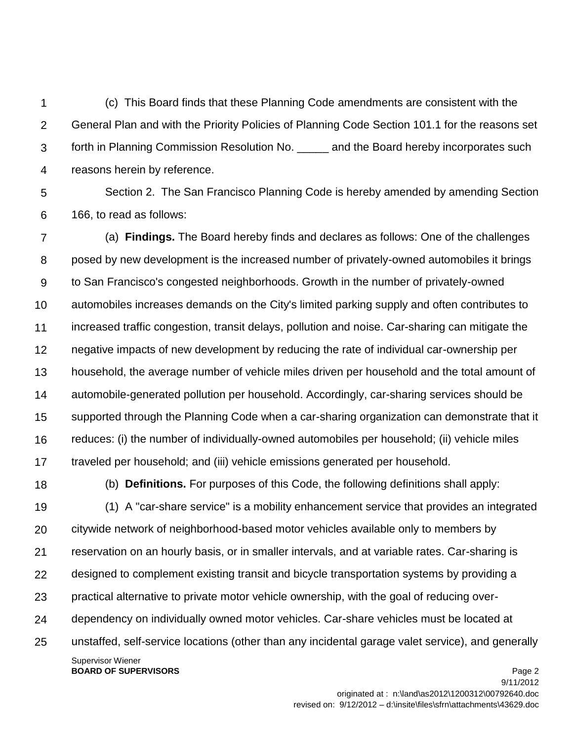1  $\mathcal{P}$ 3 4 (c) This Board finds that these Planning Code amendments are consistent with the General Plan and with the Priority Policies of Planning Code Section 101.1 for the reasons set forth in Planning Commission Resolution No. \_\_\_\_\_ and the Board hereby incorporates such reasons herein by reference.

5

6 Section 2. The San Francisco Planning Code is hereby amended by amending Section 166, to read as follows:

7 8 9 10 11 12 13 14 15 16 17 (a) **Findings.** The Board hereby finds and declares as follows: One of the challenges posed by new development is the increased number of privately-owned automobiles it brings to San Francisco's congested neighborhoods. Growth in the number of privately-owned automobiles increases demands on the City's limited parking supply and often contributes to increased traffic congestion, transit delays, pollution and noise. Car-sharing can mitigate the negative impacts of new development by reducing the rate of individual car-ownership per household, the average number of vehicle miles driven per household and the total amount of automobile-generated pollution per household. Accordingly, car-sharing services should be supported through the Planning Code when a car-sharing organization can demonstrate that it reduces: (i) the number of individually-owned automobiles per household; (ii) vehicle miles traveled per household; and (iii) vehicle emissions generated per household.

18

(b) **Definitions.** For purposes of this Code, the following definitions shall apply:

Supervisor Wiener 19 20 21 22 23 24 25 (1) A "car-share service" is a mobility enhancement service that provides an integrated citywide network of neighborhood-based motor vehicles available only to members by reservation on an hourly basis, or in smaller intervals, and at variable rates. Car-sharing is designed to complement existing transit and bicycle transportation systems by providing a practical alternative to private motor vehicle ownership, with the goal of reducing overdependency on individually owned motor vehicles. Car-share vehicles must be located at unstaffed, self-service locations (other than any incidental garage valet service), and generally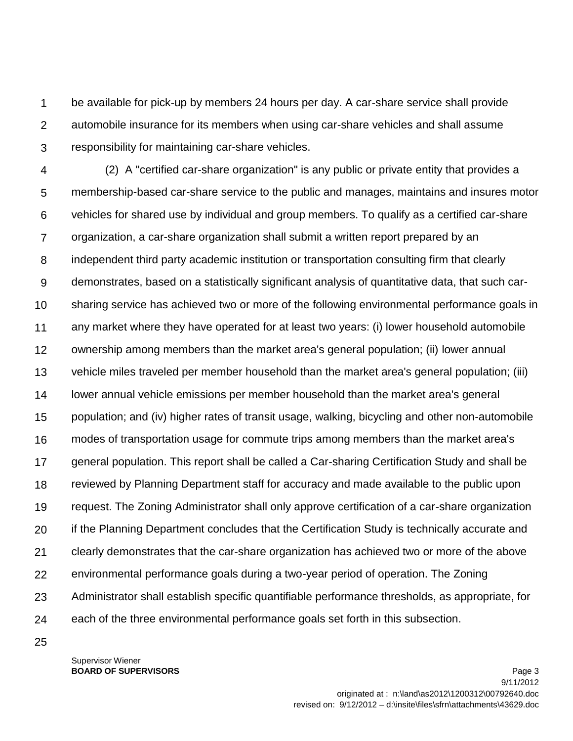1  $\mathcal{P}$ 3 be available for pick-up by members 24 hours per day. A car-share service shall provide automobile insurance for its members when using car-share vehicles and shall assume responsibility for maintaining car-share vehicles.

4 5 6 7 8 9 10 11 12 13 14 15 16 17 18 19 20 21 22 23 24 (2) A "certified car-share organization" is any public or private entity that provides a membership-based car-share service to the public and manages, maintains and insures motor vehicles for shared use by individual and group members. To qualify as a certified car-share organization, a car-share organization shall submit a written report prepared by an independent third party academic institution or transportation consulting firm that clearly demonstrates, based on a statistically significant analysis of quantitative data, that such carsharing service has achieved two or more of the following environmental performance goals in any market where they have operated for at least two years: (i) lower household automobile ownership among members than the market area's general population; (ii) lower annual vehicle miles traveled per member household than the market area's general population; (iii) lower annual vehicle emissions per member household than the market area's general population; and (iv) higher rates of transit usage, walking, bicycling and other non-automobile modes of transportation usage for commute trips among members than the market area's general population. This report shall be called a Car-sharing Certification Study and shall be reviewed by Planning Department staff for accuracy and made available to the public upon request. The Zoning Administrator shall only approve certification of a car-share organization if the Planning Department concludes that the Certification Study is technically accurate and clearly demonstrates that the car-share organization has achieved two or more of the above environmental performance goals during a two-year period of operation. The Zoning Administrator shall establish specific quantifiable performance thresholds, as appropriate, for each of the three environmental performance goals set forth in this subsection.

25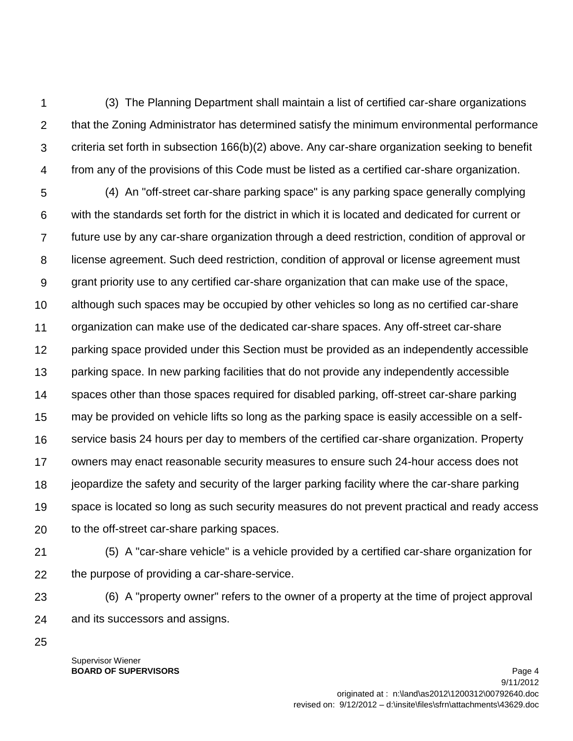1  $\mathcal{P}$ 3 4 (3) The Planning Department shall maintain a list of certified car-share organizations that the Zoning Administrator has determined satisfy the minimum environmental performance criteria set forth in subsection 166(b)(2) above. Any car-share organization seeking to benefit from any of the provisions of this Code must be listed as a certified car-share organization.

5 6 7 8 9 10 11 12 13 14 15 16 17 18 19 20 (4) An "off-street car-share parking space" is any parking space generally complying with the standards set forth for the district in which it is located and dedicated for current or future use by any car-share organization through a deed restriction, condition of approval or license agreement. Such deed restriction, condition of approval or license agreement must grant priority use to any certified car-share organization that can make use of the space, although such spaces may be occupied by other vehicles so long as no certified car-share organization can make use of the dedicated car-share spaces. Any off-street car-share parking space provided under this Section must be provided as an independently accessible parking space. In new parking facilities that do not provide any independently accessible spaces other than those spaces required for disabled parking, off-street car-share parking may be provided on vehicle lifts so long as the parking space is easily accessible on a selfservice basis 24 hours per day to members of the certified car-share organization. Property owners may enact reasonable security measures to ensure such 24-hour access does not jeopardize the safety and security of the larger parking facility where the car-share parking space is located so long as such security measures do not prevent practical and ready access to the off-street car-share parking spaces.

21 22 (5) A "car-share vehicle" is a vehicle provided by a certified car-share organization for the purpose of providing a car-share-service.

23 24 (6) A "property owner" refers to the owner of a property at the time of project approval and its successors and assigns.

25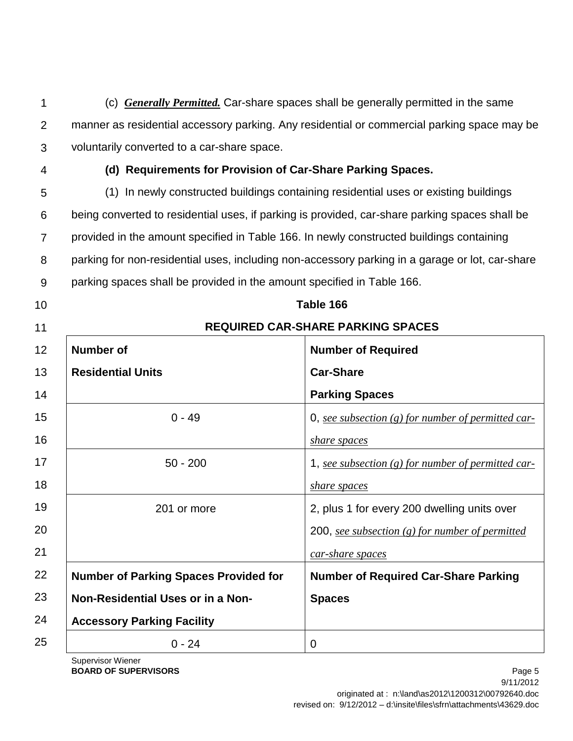1 2 3 (c) *Generally Permitted.* Car-share spaces shall be generally permitted in the same manner as residential accessory parking. Any residential or commercial parking space may be voluntarily converted to a car-share space.

4

### **(d) Requirements for Provision of Car-Share Parking Spaces.**

5 6 7 8 9 (1) In newly constructed buildings containing residential uses or existing buildings being converted to residential uses, if parking is provided, car-share parking spaces shall be provided in the amount specified in [Table 166.](http://www.amlegal.com/nxt/gateway.dll?f=id$id=San%20Francisco%20Planning%20Code%3Ar%3A498f$cid=california$t=document-frame.htm$an=JD_Table166$3.0#JD_Table166) In newly constructed buildings containing parking for non-residential uses, including non-accessory parking in a garage or lot, car-share parking spaces shall be provided in the amount specified in [Table 166.](http://www.amlegal.com/nxt/gateway.dll?f=id$id=San%20Francisco%20Planning%20Code%3Ar%3A498f$cid=california$t=document-frame.htm$an=JD_Table166$3.0#JD_Table166)

**Table 166** 

**REQUIRED CAR-SHARE PARKING SPACES** 

10

11

| 12 | <b>Number of</b>                             | <b>Number of Required</b>                            |
|----|----------------------------------------------|------------------------------------------------------|
| 13 | <b>Residential Units</b>                     | <b>Car-Share</b>                                     |
| 14 |                                              | <b>Parking Spaces</b>                                |
| 15 | $0 - 49$                                     | 0, see subsection (g) for number of permitted car-   |
| 16 |                                              | <i>share spaces</i>                                  |
| 17 | $50 - 200$                                   | 1, see subsection $(g)$ for number of permitted car- |
| 18 |                                              | <i>share spaces</i>                                  |
| 19 | 201 or more                                  | 2, plus 1 for every 200 dwelling units over          |
| 20 |                                              | 200, see subsection $(g)$ for number of permitted    |
| 21 |                                              | car-share spaces                                     |
| 22 | <b>Number of Parking Spaces Provided for</b> | <b>Number of Required Car-Share Parking</b>          |
| 23 | Non-Residential Uses or in a Non-            | <b>Spaces</b>                                        |
| 24 | <b>Accessory Parking Facility</b>            |                                                      |
| 25 | $0 - 24$                                     | $\Omega$                                             |

Supervisor Wiener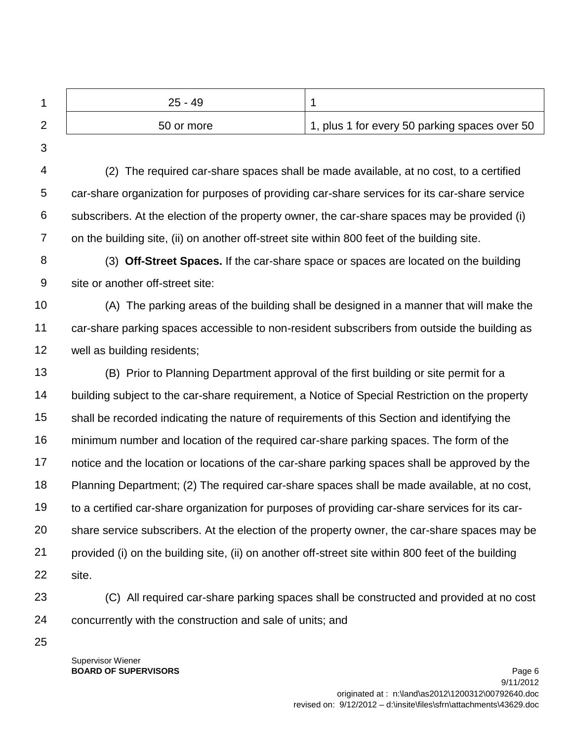| $25 - 49$  |                                               |
|------------|-----------------------------------------------|
| 50 or more | 1, plus 1 for every 50 parking spaces over 50 |

3

4 5 6 7 (2) The required car-share spaces shall be made available, at no cost, to a certified car-share organization for purposes of providing car-share services for its car-share service subscribers. At the election of the property owner, the car-share spaces may be provided (i) on the building site, (ii) on another off-street site within 800 feet of the building site.

8 9 (3) **Off-Street Spaces.** If the car-share space or spaces are located on the building site or another off-street site:

10 11 12 (A) The parking areas of the building shall be designed in a manner that will make the car-share parking spaces accessible to non-resident subscribers from outside the building as well as building residents;

- 13 14 15 16 17 18 19 20 21 22 (B) Prior to Planning Department approval of the first building or site permit for a building subject to the car-share requirement, a Notice of Special Restriction on the property shall be recorded indicating the nature of requirements of this Section and identifying the minimum number and location of the required car-share parking spaces. The form of the notice and the location or locations of the car-share parking spaces shall be approved by the Planning Department; (2) The required car-share spaces shall be made available, at no cost, to a certified car-share organization for purposes of providing car-share services for its carshare service subscribers. At the election of the property owner, the car-share spaces may be provided (i) on the building site, (ii) on another off-street site within 800 feet of the building site.
- 23 24 (C) All required car-share parking spaces shall be constructed and provided at no cost concurrently with the construction and sale of units; and
- 25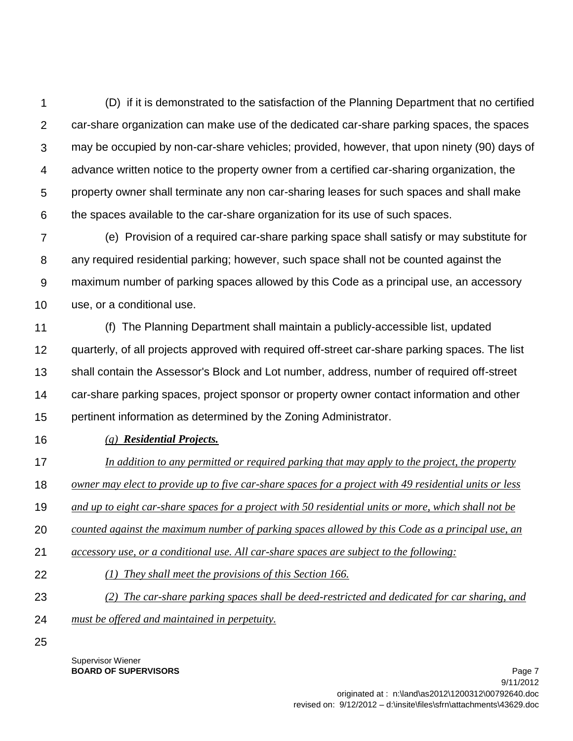1  $\mathcal{P}$ 3 4 5 6 (D) if it is demonstrated to the satisfaction of the Planning Department that no certified car-share organization can make use of the dedicated car-share parking spaces, the spaces may be occupied by non-car-share vehicles; provided, however, that upon ninety (90) days of advance written notice to the property owner from a certified car-sharing organization, the property owner shall terminate any non car-sharing leases for such spaces and shall make the spaces available to the car-share organization for its use of such spaces.

7 8 9 10 (e) Provision of a required car-share parking space shall satisfy or may substitute for any required residential parking; however, such space shall not be counted against the maximum number of parking spaces allowed by this Code as a principal use, an accessory use, or a conditional use.

11 12 13 14 15 (f) The Planning Department shall maintain a publicly-accessible list, updated quarterly, of all projects approved with required off-street car-share parking spaces. The list shall contain the Assessor's Block and Lot number, address, number of required off-street car-share parking spaces, project sponsor or property owner contact information and other pertinent information as determined by the Zoning Administrator.

16 *(g) Residential Projects.* 

17 *In addition to any permitted or required parking that may apply to the project, the property* 

- 18 *owner may elect to provide up to five car-share spaces for a project with 49 residential units or less*
- 19 *and up to eight car-share spaces for a project with 50 residential units or more, which shall not be*
- 20 *counted against the maximum number of parking spaces allowed by this Code as a principal use, an*
- 21 *accessory use, or a conditional use. All car-share spaces are subject to the following:*
- 22 *(1) They shall meet the provisions of this Section 166.*
- 23 *(2) The car-share parking spaces shall be deed-restricted and dedicated for car sharing, and*
- 24 *must be offered and maintained in perpetuity.*
- 25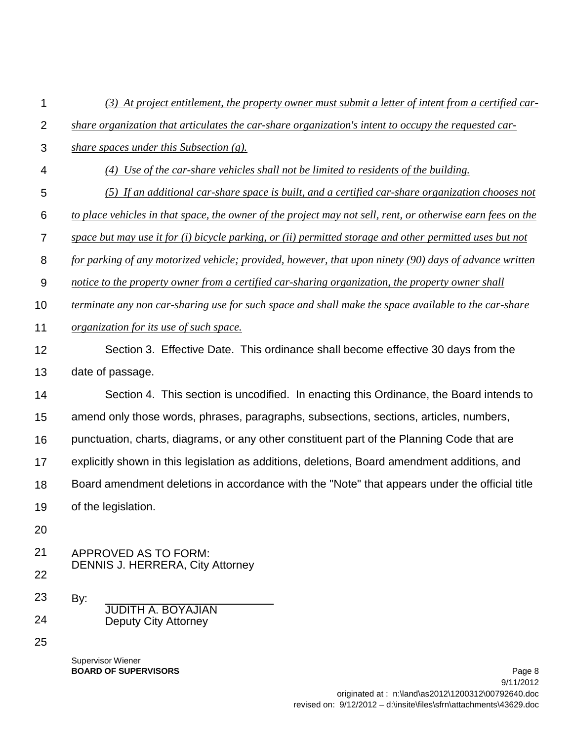| 1              | (3) At project entitlement, the property owner must submit a letter of intent from a certified car-         |
|----------------|-------------------------------------------------------------------------------------------------------------|
| $\overline{2}$ | share organization that articulates the car-share organization's intent to occupy the requested car-        |
| 3              | share spaces under this Subsection (g).                                                                     |
| $\overline{4}$ | (4) Use of the car-share vehicles shall not be limited to residents of the building.                        |
| 5              | (5) If an additional car-share space is built, and a certified car-share organization chooses not           |
| 6              | to place vehicles in that space, the owner of the project may not sell, rent, or otherwise earn fees on the |
| $\overline{7}$ | space but may use it for (i) bicycle parking, or (ii) permitted storage and other permitted uses but not    |
| 8              | for parking of any motorized vehicle; provided, however, that upon ninety (90) days of advance written      |
| $9$            | notice to the property owner from a certified car-sharing organization, the property owner shall            |
| 10             | terminate any non car-sharing use for such space and shall make the space available to the car-share        |
| 11             | organization for its use of such space.                                                                     |
| 12             | Section 3. Effective Date. This ordinance shall become effective 30 days from the                           |
| 13             | date of passage.                                                                                            |
| 14             | Section 4. This section is uncodified. In enacting this Ordinance, the Board intends to                     |
| 15             | amend only those words, phrases, paragraphs, subsections, sections, articles, numbers,                      |
| 16             | punctuation, charts, diagrams, or any other constituent part of the Planning Code that are                  |
| 17             | explicitly shown in this legislation as additions, deletions, Board amendment additions, and                |
| 18             | Board amendment deletions in accordance with the "Note" that appears under the official title               |
| 19             | of the legislation.                                                                                         |
| 20             |                                                                                                             |
| 21             | <b>APPROVED AS TO FORM:</b>                                                                                 |
| 22             | <b>DENNIS J. HERRERA, City Attorney</b>                                                                     |
| 23             | By:<br><b>JUDITH A. BOYAJIAN</b>                                                                            |
| 24             | <b>Deputy City Attorney</b>                                                                                 |
| 25             |                                                                                                             |
|                | <b>Supervisor Wiener</b>                                                                                    |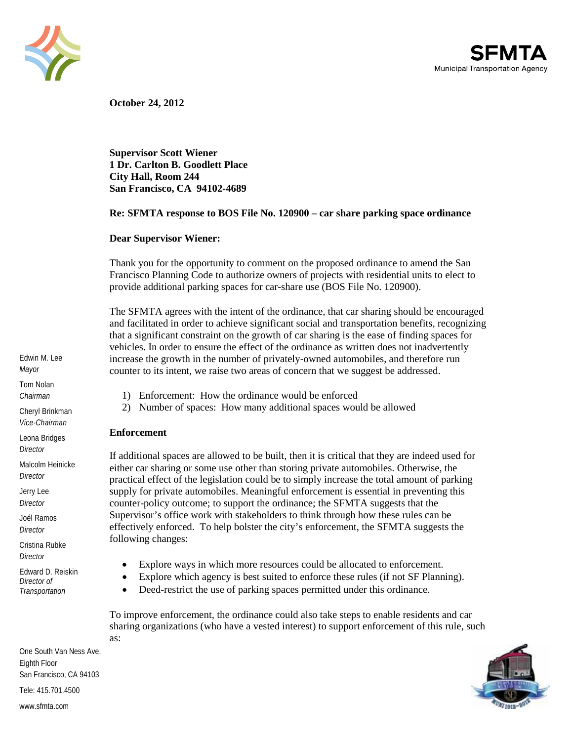



**October 24, 2012** 

**Supervisor Scott Wiener 1 Dr. Carlton B. Goodlett Place City Hall, Room 244 San Francisco, CA 94102-4689** 

#### **Re: SFMTA response to BOS File No. 120900 – car share parking space ordinance**

#### **Dear Supervisor Wiener:**

Thank you for the opportunity to comment on the proposed ordinance to amend the San Francisco Planning Code to authorize owners of projects with residential units to elect to provide additional parking spaces for car-share use (BOS File No. 120900).

The SFMTA agrees with the intent of the ordinance, that car sharing should be encouraged and facilitated in order to achieve significant social and transportation benefits, recognizing that a significant constraint on the growth of car sharing is the ease of finding spaces for vehicles. In order to ensure the effect of the ordinance as written does not inadvertently increase the growth in the number of privately-owned automobiles, and therefore run counter to its intent, we raise two areas of concern that we suggest be addressed.

- 1) Enforcement: How the ordinance would be enforced
- 2) Number of spaces: How many additional spaces would be allowed

#### **Enforcement**

If additional spaces are allowed to be built, then it is critical that they are indeed used for either car sharing or some use other than storing private automobiles. Otherwise, the practical effect of the legislation could be to simply increase the total amount of parking supply for private automobiles. Meaningful enforcement is essential in preventing this counter-policy outcome; to support the ordinance; the SFMTA suggests that the Supervisor's office work with stakeholders to think through how these rules can be effectively enforced. To help bolster the city's enforcement, the SFMTA suggests the following changes:

- Explore ways in which more resources could be allocated to enforcement.
- Explore which agency is best suited to enforce these rules (if not SF Planning).
- Deed-restrict the use of parking spaces permitted under this ordinance.

To improve enforcement, the ordinance could also take steps to enable residents and car sharing organizations (who have a vested interest) to support enforcement of this rule, such as:



Tom Nolan *Chairman* Cheryl Brinkman *Vice-Chairman* Leona Bridges *Director* Malcolm Heinicke *Director* Jerry Lee *Director* Joél Ramos *Director* Cristina Rubke *Director*

Edwin M. Lee *Mayor*

Edward D. Reiskin *Director of Transportation*

One South Van Ness Ave. Eighth Floor San Francisco, CA 94103 Tele: 415.701.4500